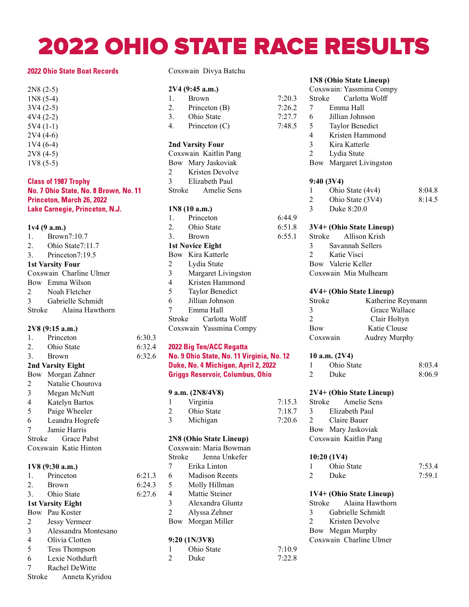# 2022 OHIO STATE RACE RESULTS

 $7:20.3$  $7:26.2$ 7:27.7  $7:48.5$ 

6:44.9 6:51.8 6:55.1

#### **2022 Ohio State Boat Records**

2N8 (2-5) 1N8 (5-4) 3V4 (2-5) 4V4 (2-2) 5V4 (1-1) 2V4 (4-6) 1V4 (6-4) 2V8 (4-5) 1V8 (5-5)

#### **Class of 1987 Trophy** No. 7 Ohio State, No. 8 Brown, No. 11 Princeton, March 26, 2022 Lake Carnegie, Princeton, N.J.

#### 1v4 (9 a.m.) 1. Brown 7:10.7 2. Ohio State 7:11.7 3. Princeton 7:19.5 1st Varsity Four Coxswain Charline Ulmer Bow Emma Wilson 2 Noah Fletcher 3 Gabrielle Schmidt Stroke Alaina Hawthorn

#### 2V8 (9:15 a.m.)

| 1.                      | Princeton                | 6:30.3 |
|-------------------------|--------------------------|--------|
|                         | 2. Ohio State            | 6:32.4 |
| 3.                      | Brown                    | 6:32.6 |
|                         | 2nd Varsity Eight        |        |
|                         | Bow Morgan Zahner        |        |
| 2                       | Natalie Chourova         |        |
| $\overline{3}$          | Megan McNutt             |        |
| $\overline{4}$          | Katelyn Bartos           |        |
| 5                       | Paige Wheeler            |        |
| 6                       | Leandra Hogrefe          |        |
| $\tau$                  | Jamie Harris             |        |
| Stroke                  | Grace Pabst              |        |
|                         | Coxswain Katie Hinton    |        |
|                         |                          |        |
|                         | 1V8 (9:30 a.m.)          |        |
|                         | 1. Princeton             | 6:21.3 |
|                         | 2. Brown                 | 6:24.3 |
|                         | 3. Ohio State            | 6:27.6 |
|                         | <b>1st Varsity Eight</b> |        |
|                         | Bow Pau Koster           |        |
| $\overline{2}$          | Jessy Vermeer            |        |
| $\overline{3}$          | Alessandra Montesano     |        |
| $\overline{\mathbf{4}}$ | Olivia Clotten           |        |
| 5 <sup>5</sup>          | Tess Thompson            |        |
| 6                       | Lexie Nothdurft          |        |
| 7                       | Rachel DeWitte           |        |
| Stroke                  | Anneta Kyridou           |        |

Coxswain Divya Batchu

#### 2V4 (9:45 a.m.)

| 1.                      | <b>Brown</b>            |  |
|-------------------------|-------------------------|--|
| 2.                      | Princeton (B)           |  |
|                         | 3. Ohio State           |  |
| 4.                      | Princeton $(C)$         |  |
|                         |                         |  |
|                         | <b>2nd Varsity Four</b> |  |
|                         | Coxswain Kaitlin Pang   |  |
|                         | Bow Mary Jaskoviak      |  |
| 2                       | Kristen Devolve         |  |
| $3^{\circ}$             | Elizabeth Paul          |  |
|                         | Stroke Amelie Sens      |  |
|                         |                         |  |
|                         | 1N8 (10 a.m.)           |  |
|                         | 1. Princeton            |  |
|                         | 2. Ohio State           |  |
|                         | 3. Brown                |  |
|                         | <b>1st Novice Eight</b> |  |
|                         | Bow Kira Katterle       |  |
| $\overline{2}$          | Lydia Stute             |  |
| $\overline{3}$          | Margaret Livingston     |  |
| $\overline{4}$          | Kristen Hammond         |  |
| 5                       | Taylor Benedict         |  |
| 6                       | Jillian Johnson         |  |
| 7                       | Emma Hall               |  |
|                         | Stroke Carlotta Wolff   |  |
| Coxswain Yassmina Compy |                         |  |
|                         |                         |  |

# 2022 Big Ten/ACC Regatta

#### No. 9 Ohio State, No. 11 Virginia, No. 12 Duke, No. 4 Michigan, April 2, 2022 **Griggs Reservoir, Columbus, Ohio**

#### 9 a.m. (2N8/4V8)

|   | Virginia   | 7:15.3 |
|---|------------|--------|
| 2 | Ohio State | 7:18.7 |
| 3 | Michigan   | 7:20.6 |

#### 2N8 (Ohio State Lineup)

| Coxswain: Maria Bowman |                  |  |
|------------------------|------------------|--|
| Stroke                 | Jenna Unkefer    |  |
| 7                      | Erika Linton     |  |
| 6                      | Madison Reents   |  |
| 5                      | Molly Hillman    |  |
| 4                      | Mattie Steiner   |  |
| 3                      | Alexandra Gluntz |  |
| $\mathfrak{D}$         | Alyssa Zehner    |  |
| <b>Bow</b>             | Morgan Miller    |  |
|                        |                  |  |

#### 9:20 (1N/3V8)

|                | Ohio State | 7:10.9 |
|----------------|------------|--------|
| $\overline{c}$ | Duke       | 7:22.8 |

## 1N8 (Ohio State Lineup)

|                | IN8 (Ohio State Lineup)   |        |
|----------------|---------------------------|--------|
|                | Coxswain: Yassmina Compy  |        |
| Stroke         | Carlotta Wolff            |        |
| 7              | Emma Hall                 |        |
| 6              | Jillian Johnson           |        |
| 5 <sup>5</sup> | Taylor Benedict           |        |
| $\overline{4}$ | Kristen Hammond           |        |
| 3              | Kira Katterle             |        |
| $\overline{2}$ | Lydia Stute               |        |
|                | Bow Margaret Livingston   |        |
|                | 9:40 (3V4)                |        |
| 1              | Ohio State (4v4)          | 8:04.8 |
| $\overline{2}$ | Ohio State (3V4)          | 8:14.5 |
| 3 <sup>1</sup> | Duke 8:20.0               |        |
|                | 3V4+ (Ohio State Lineup)  |        |
| Stroke         | Allison Krish             |        |
| 3 <sup>7</sup> | Savannah Sellers          |        |
|                | 2 Katie Visci             |        |
|                | Bow Valerie Keller        |        |
|                | Coxswain Mia Mulhearn     |        |
|                | 4V4+ (Ohio State Lineup)  |        |
| Stroke         | Katherine Reymann         |        |
| 3              | Grace Wallace             |        |
| $\mathfrak{D}$ | Clair Holtyn              |        |
| <b>Bow</b>     | Katie Clouse              |        |
|                | Coxswain<br>Audrey Murphy |        |
|                | 10 a.m. (2V4)             |        |
| 1              | Ohio State                | 8:03.4 |
| $\overline{2}$ | Duke                      | 8:06.9 |
|                | 2V4+ (Ohio State Lineup)  |        |
| Stroke         | Amelie Sens               |        |
| 3              | Elizabeth Paul            |        |
| $\mathbf{2}$   | Claire Bauer              |        |
|                | Bow Mary Jaskoviak        |        |
|                | Coxswain Kaitlin Pang     |        |
|                |                           |        |
|                | 10:20 (1V4)               |        |
| 1              | Ohio State                | 7:53.4 |
| $\mathfrak{D}$ | Duke                      | 7:59.1 |
|                | 1V4+ (Ohio State Lineup)  |        |
| Stroke         | Alaina Hawthorn           |        |
| 3              | Gabrielle Schmidt         |        |
| $\overline{2}$ | Kristen Devolve           |        |
|                | Bow Megan Murphy          |        |

Coxswain Charline Ulmer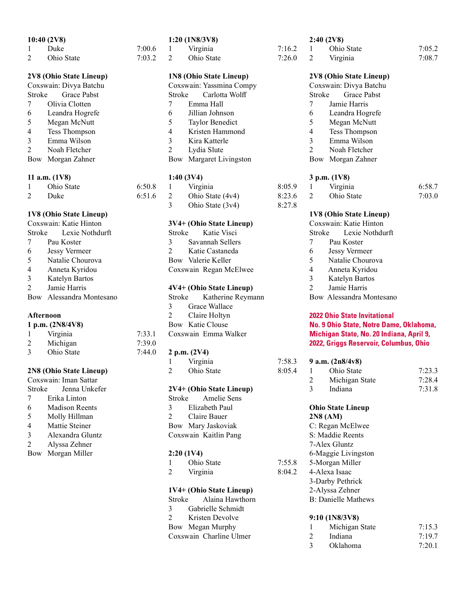#### 10:40 (2V8)

| Duke       | 7:00.6 |
|------------|--------|
| Ohio State | 7:03.2 |

## 2V8 (Ohio State Lineup)

| Coxswain: Divya Batchu |                      |  |
|------------------------|----------------------|--|
| Stroke                 | <b>Grace Pabst</b>   |  |
| 7                      | Olivia Clotten       |  |
| 6                      | Leandra Hogrefe      |  |
| 5                      | Megan McNutt         |  |
| 4                      | <b>Tess Thompson</b> |  |
| 3                      | Emma Wilson          |  |
| $\mathfrak{D}$         | Noah Fletcher        |  |
| Bow                    | Morgan Zahner        |  |

#### 11 a.m. (1V8)

| Ohio State | 6:50.8     | 1 Virginia   |
|------------|------------|--------------|
| Duke       | $6:51.6$ 2 | Ohio State ( |

#### 1V8 (Ohio State Lineup)

| Coxswain: Katie Hinton |                          |  |
|------------------------|--------------------------|--|
|                        | Stroke Lexie Nothdurft   |  |
| 7                      | Pau Koster               |  |
| 6                      | <b>Jessy Vermeer</b>     |  |
| 5                      | Natalie Chourova         |  |
| 4                      | Anneta Kyridou           |  |
| 3                      | Katelyn Bartos           |  |
| $\mathfrak{D}$         | Jamie Harris             |  |
|                        | Bow Alessandra Montesano |  |

#### Afternoon

| 1 p.m. $(2N8/4V8)$ |            |        |
|--------------------|------------|--------|
|                    | Virginia   | 7:33.1 |
| $\mathcal{L}$      | Michigan   | 7:39.0 |
| $\mathcal{E}$      | Ohio State | 7:44.0 |

## 2N8 (Ohio State Lineup)

| Coxswain: Iman Sattar |                  |  |
|-----------------------|------------------|--|
| Stroke                | Jenna Unkefer    |  |
| 7                     | Erika Linton     |  |
| 6                     | Madison Reents   |  |
| 5                     | Molly Hillman    |  |
| 4                     | Mattie Steiner   |  |
| 3                     | Alexandra Gluntz |  |
| $\mathfrak{D}$        | Alyssa Zehner    |  |
| Bow                   | Morgan Miller    |  |
|                       |                  |  |
|                       |                  |  |

#### 1:20 (1N8/3V8)

|   | Virginia   |  |
|---|------------|--|
| 2 | Ohio State |  |
|   |            |  |

## 1N8 (Ohio State Lineup)

| Coxswain: Yassmina Compy |                         |  |
|--------------------------|-------------------------|--|
| Stroke                   | Carlotta Wolff          |  |
| $7\overline{ }$          | Emma Hall               |  |
| 6                        | Jillian Johnson         |  |
| 5                        | <b>Taylor Benedict</b>  |  |
| 4                        | Kristen Hammond         |  |
| 3                        | Kira Katterle           |  |
| $\mathfrak{D}$           | Lydia Slute             |  |
|                          | Bow Margaret Livingston |  |

#### 1:40 (3V4)

|   | Virginia           | 8:05.9 |
|---|--------------------|--------|
| 2 | Ohio State (4v4)   | 8:23.6 |
| 3 | Ohio State $(3v4)$ | 8:27.8 |

#### 3V4+ (Ohio State Lineup)

Stroke Katie Visci 3 Savannah Sellers 2 Katie Castaneda Bow Valerie Keller Coxswain Regan McElwee

#### 4V4+ (Ohio State Lineup)

|               | Stroke Katherine Reymann |
|---------------|--------------------------|
| 3             | Grace Wallace            |
| $\mathcal{D}$ | Claire Holtyn            |
|               | Bow Katie Clouse         |
|               | Coxswain Emma Walker     |
|               |                          |

#### 2 p.m. (2V4)

| Virginia   | 7:58.3 |
|------------|--------|
| Ohio State | 8:05.4 |

#### 2V4+ (Ohio State Lineup)

Stroke Amelie Sens 3 Elizabeth Paul 2 Claire Bauer Bow Mary Jaskoviak Coxswain Kaitlin Pang

#### 2:20 (1V4)

| Ohio State | 7:55.8 |
|------------|--------|
| Virginia   | 8:04.2 |

#### 1V4+ (Ohio State Lineup)

|                             | Stroke Alaina Hawthorn  |
|-----------------------------|-------------------------|
| 3                           | Gabrielle Schmidt       |
| $\mathcal{D}_{\mathcal{A}}$ | Kristen Devolve         |
|                             | Bow Megan Murphy        |
|                             | Coxswain Charline Ulmer |

#### 2:40 (2V8)

 $7:16.2$  $7:26.0$ 

| Ohio State | 7:05.2 |
|------------|--------|
| Virginia   | 7:08.7 |

#### 2V8 (Ohio State Lineup)

| Coxswain: Divya Batchu |                      |  |
|------------------------|----------------------|--|
| Stroke                 | <b>Grace Pabst</b>   |  |
| 7                      | Jamie Harris         |  |
| 6                      | Leandra Hogrefe      |  |
| 5                      | Megan McNutt         |  |
| 4                      | <b>Tess Thompson</b> |  |
| 3                      | Emma Wilson          |  |
| $\mathfrak{D}$         | Noah Fletcher        |  |
| Bow                    | Morgan Zahner        |  |

#### 3 p.m. (1V8)

| Virginia   | 6:58.7 |
|------------|--------|
| Ohio State | 7:03.0 |

#### 1V8 (Ohio State Lineup)

|                | Coxswain: Katie Hinton   |
|----------------|--------------------------|
|                | Stroke Lexie Nothdurft   |
| 7              | Pau Koster               |
| 6              | <b>Jessy Vermeer</b>     |
| 5              | Natalie Chourova         |
| 4              | Anneta Kyridou           |
| 3              | Katelyn Bartos           |
| $\mathfrak{D}$ | Jamie Harris             |
|                | Bow Alessandra Montesano |
|                |                          |

#### **2022 Ohio State Invitational** No. 9 Ohio State, Notre Dame, Oklahoma, Michigan State, No. 20 Indiana, April 9, 2022, Griggs Reservoir, Columbus, Ohio

| 3 |   | 9 a.m. $(2n8/4v8)$ |        |
|---|---|--------------------|--------|
| 4 |   | Ohio State         | 7:23.3 |
|   |   | Michigan State     | 7:28.4 |
|   | 3 | Indiana            | 7:31.8 |

#### Ohio State Lineup 2N8 (AM) C: Regan McElwee S: Maddie Reents 7-Alex Gluntz 6-Maggie Livingston 5-Morgan Miller 4-Alexa Isaac 3-Darby Pethrick 2-Alyssa Zehner

## B: Danielle Mathews

| 9:10(1N8/3V8)               |                |        |  |  |
|-----------------------------|----------------|--------|--|--|
|                             | Michigan State | 7:15.3 |  |  |
| $\mathcal{D}_{\mathcal{L}}$ | Indiana        | 7:19.7 |  |  |
| 3                           | Oklahoma       | 7:20.1 |  |  |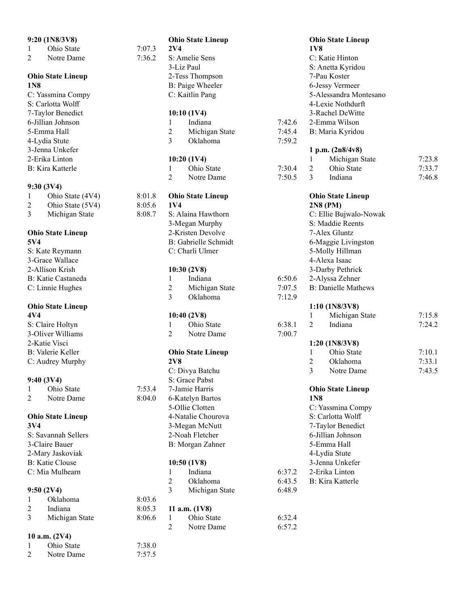|                 | 9:20 (1N8/3V8)                |        |                 | <b>Ohio State Lineup</b>    |        |                 | <b>Ohio State Lineup</b>   |        |
|-----------------|-------------------------------|--------|-----------------|-----------------------------|--------|-----------------|----------------------------|--------|
| 1               | Ohio State                    | 7:07.3 | 2V <sub>4</sub> |                             |        | <b>1V8</b>      |                            |        |
| 2               | Notre Dame                    | 7:36.2 |                 | S: Amelie Sens              |        |                 | C: Katie Hinton            |        |
|                 |                               |        |                 | 3-Liz Paul                  |        |                 | S: Anetta Kyridou          |        |
|                 | <b>Ohio State Lineup</b>      |        |                 | 2-Tess Thompson             |        |                 | 7-Pau Koster               |        |
| 1N <sub>8</sub> |                               |        |                 | B: Paige Wheeler            |        |                 | 6-Jessy Vermeer            |        |
|                 | C: Yassmina Compy             |        |                 | C: Kaitlin Pang             |        |                 | 5-Alessandra Montesano     |        |
|                 | S: Carlotta Wolff             |        |                 |                             |        |                 | 4-Lexie Nothdurft          |        |
|                 | 7-Taylor Benedict             |        |                 | 10:10(1V4)                  |        |                 | 3-Rachel DeWitte           |        |
|                 | 6-Jillian Johnson             |        | 1               | Indiana                     | 7:42.6 |                 | 2-Emma Wilson              |        |
|                 | 5-Emma Hall                   |        | 2               | Michigan State              | 7:45.4 |                 | B: Maria Kyridou           |        |
|                 | 4-Lydia Stute                 |        | 3               | Oklahoma                    | 7:59.2 |                 |                            |        |
|                 | 3-Jenna Unkefer               |        |                 |                             |        |                 | 1 p.m. (2n8/4v8)           |        |
|                 | 2-Erika Linton                |        |                 | 10:20(1V4)                  |        | 1               | Michigan State             | 7:23.8 |
|                 | <b>B:</b> Kira Katterle       |        | 1               | Ohio State                  | 7:30.4 | 2               | Ohio State                 | 7:33.7 |
|                 |                               |        | 2               | Notre Dame                  | 7:50.5 | 3               | Indiana                    | 7:46.8 |
|                 | 9:30 (3V4)                    |        |                 |                             |        |                 |                            |        |
| 1               | Ohio State (4V4)              | 8:01.8 |                 | <b>Ohio State Lineup</b>    |        |                 | <b>Ohio State Lineup</b>   |        |
| 2               | Ohio State (5V4)              | 8:05.6 | 1V4             |                             |        |                 | 2N8 (PM)                   |        |
| 3               | Michigan State                | 8:08.7 |                 | S: Alaina Hawthorn          |        |                 | C: Ellie Bujwalo-Nowak     |        |
|                 |                               |        |                 | 3-Megan Murphy              |        |                 | S: Maddie Reents           |        |
|                 | <b>Ohio State Lineup</b>      |        |                 | 2-Kristen Devolve           |        |                 | 7-Alex Gluntz              |        |
| 5V4             |                               |        |                 | <b>B:</b> Gabrielle Schmidt |        |                 | 6-Maggie Livingston        |        |
|                 | S: Kate Reymann               |        |                 | C: Charli Ulmer             |        |                 | 5-Molly Hillman            |        |
|                 | 3-Grace Wallace               |        |                 |                             |        |                 | 4-Alexa Isaac              |        |
|                 | 2-Allison Krish               |        |                 | 10:30(2V8)                  |        |                 | 3-Darby Pethrick           |        |
|                 | B: Katie Castaneda            |        | 1               | Indiana                     | 6:50.6 |                 | 2-Alyssa Zehner            |        |
|                 | C: Linnie Hughes              |        | 2               | Michigan State              | 7:07.5 |                 | <b>B: Danielle Mathews</b> |        |
|                 |                               |        | 3               | Oklahoma                    | 7:12.9 |                 |                            |        |
|                 | <b>Ohio State Lineup</b>      |        |                 |                             |        |                 | 1:10(1N8/3V8)              |        |
| 4V4             |                               |        |                 | 10:40(2V8)                  |        | 1               | Michigan State             | 7:15.8 |
|                 | S: Claire Holtyn              |        | 1               | Ohio State                  | 6:38.1 | 2               | Indiana                    | 7:24.2 |
|                 | 3-Oliver Williams             |        | 2               | Notre Dame                  | 7:00.7 |                 |                            |        |
|                 | 2-Katie Visci                 |        |                 |                             |        |                 | 1:20 (1N8/3V8)             |        |
|                 | B: Valerie Keller             |        |                 | <b>Ohio State Lineup</b>    |        | 1               | Ohio State                 | 7:10.1 |
|                 | C: Audrey Murphy              |        | <b>2V8</b>      |                             |        | 2               | Oklahoma                   | 7:33.1 |
|                 |                               |        |                 | C: Divya Batchu             |        | 3               | Notre Dame                 | 7:43.5 |
|                 | 9:40 (3V4)                    |        |                 | S: Grace Pabst              |        |                 |                            |        |
| 1               | Ohio State                    | 7:53.4 |                 | 7-Jamie Harris              |        |                 | <b>Ohio State Lineup</b>   |        |
| 2               | Notre Dame                    | 8:04.0 |                 | 6-Katelyn Bartos            |        | 1N <sub>8</sub> |                            |        |
|                 |                               |        |                 | 5-Ollie Clotten             |        |                 | C: Yassmina Compy          |        |
|                 | <b>Ohio State Lineup</b>      |        |                 | 4-Natalie Chourova          |        |                 | S: Carlotta Wolff          |        |
| 3V <sub>4</sub> |                               |        |                 | 3-Megan McNutt              |        |                 | 7-Taylor Benedict          |        |
|                 | S: Savannah Sellers           |        |                 | 2-Noah Fletcher             |        |                 | 6-Jillian Johnson          |        |
|                 | 3-Claire Bauer                |        |                 | B: Morgan Zahner            |        |                 | 5-Emma Hall                |        |
|                 | 2-Mary Jaskoviak              |        |                 |                             |        |                 | 4-Lydia Stute              |        |
|                 | <b>B:</b> Katie Clouse        |        |                 | 10:50(1V8)                  |        |                 | 3-Jenna Unkefer            |        |
|                 | C: Mia Mulhearn               |        | 1               | Indiana                     | 6:37.2 |                 | 2-Erika Linton             |        |
|                 |                               |        | 2               | Oklahoma                    | 6:43.5 |                 | <b>B:</b> Kira Katterle    |        |
|                 | 9:50(2V4)                     |        | 3               | Michigan State              | 6:48.9 |                 |                            |        |
| 1               | Oklahoma                      | 8:03.6 |                 |                             |        |                 |                            |        |
| 2               | Indiana                       | 8:05.3 |                 | 11 a.m. $(1V8)$             |        |                 |                            |        |
| 3               | Michigan State                | 8:06.6 | 1               | Ohio State                  | 6:32.4 |                 |                            |        |
|                 |                               |        | $\overline{2}$  | Notre Dame                  | 6:57.2 |                 |                            |        |
|                 |                               |        |                 |                             |        |                 |                            |        |
|                 | 10 a.m. $(2V4)$<br>Ohio State | 7:38.0 |                 |                             |        |                 |                            |        |
| 1               |                               |        |                 |                             |        |                 |                            |        |
| 2               | Notre Dame                    | 7:57.5 |                 |                             |        |                 |                            |        |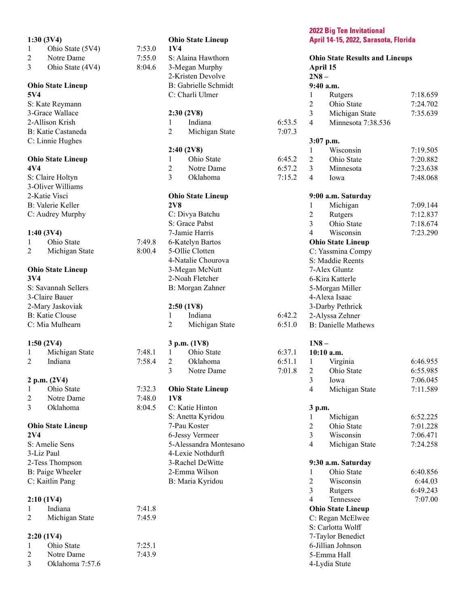|                                           | 1:30(3V4)                |        |                | <b>Ohio State Lineup</b>            |        |
|-------------------------------------------|--------------------------|--------|----------------|-------------------------------------|--------|
| $\mathbf{1}$                              | Ohio State (5V4)         | 7:53.0 | 1V4            |                                     |        |
| 2                                         | Notre Dame               | 7:55.0 |                | S: Alaina Hawthorn                  |        |
| 3                                         | Ohio State (4V4)         | 8:04.6 |                | 3-Megan Murphy                      |        |
|                                           |                          |        |                | 2-Kristen Devolve                   |        |
|                                           | <b>Ohio State Lineup</b> |        |                | B: Gabrielle Schmidt                |        |
| 5V4                                       |                          |        |                | C: Charli Ulmer                     |        |
|                                           | S: Kate Reymann          |        |                |                                     |        |
|                                           | 3-Grace Wallace          |        |                | 2:30(2V8)                           |        |
|                                           | 2-Allison Krish          |        | 1              | Indiana                             | 6:53.5 |
|                                           | B: Katie Castaneda       |        | 2              | Michigan State                      | 7:07.3 |
|                                           | C: Linnie Hughes         |        |                |                                     |        |
|                                           |                          |        |                | 2:40(2V8)                           |        |
|                                           | <b>Ohio State Lineup</b> |        | $\mathbf{1}$   | Ohio State                          | 6:45.2 |
| 4V4                                       |                          |        | $\overline{2}$ | Notre Dame                          | 6:57.2 |
|                                           | S: Claire Holtyn         |        | $\overline{3}$ | Oklahoma                            | 7:15.2 |
|                                           | 3-Oliver Williams        |        |                |                                     |        |
|                                           | 2-Katie Visci            |        |                | <b>Ohio State Lineup</b>            |        |
|                                           | <b>B:</b> Valerie Keller |        | 2V8            |                                     |        |
|                                           | C: Audrey Murphy         |        |                | C: Divya Batchu                     |        |
|                                           |                          |        |                | S: Grace Pabst                      |        |
|                                           | 1:40(3V4)                |        |                | 7-Jamie Harris                      |        |
| $\mathbf{1}$                              | Ohio State               | 7:49.8 |                | 6-Katelyn Bartos<br>5-Ollie Clotten |        |
| 2                                         | Michigan State           | 8:00.4 |                |                                     |        |
|                                           |                          |        |                | 4-Natalie Chourova                  |        |
| 3V <sub>4</sub>                           | <b>Ohio State Lineup</b> |        |                | 3-Megan McNutt<br>2-Noah Fletcher   |        |
|                                           | S: Savannah Sellers      |        |                |                                     |        |
|                                           | 3-Claire Bauer           |        |                | B: Morgan Zahner                    |        |
|                                           | 2-Mary Jaskoviak         |        |                | 2:50(1V8)                           |        |
|                                           |                          |        | $\mathbf{1}$   | Indiana                             | 6:42.2 |
| <b>B:</b> Katie Clouse<br>C: Mia Mulhearn |                          | 2      | Michigan State | 6:51.0                              |        |
|                                           |                          |        |                |                                     |        |
|                                           | 1:50(2V4)                |        |                | 3 p.m. (1V8)                        |        |
| $\mathbf{1}$                              | Michigan State           | 7:48.1 | $1 \quad \Box$ | Ohio State                          | 6:37.1 |
| 2                                         | Indiana                  | 7:58.4 | $\overline{2}$ | Oklahoma                            | 6:51.1 |
|                                           |                          |        | 3              | Notre Dame                          | 7:01.8 |
|                                           | 2 p.m. (2V4)             |        |                |                                     |        |
| 1                                         | Ohio State               | 7:32.3 |                | <b>Ohio State Lineup</b>            |        |
| 2                                         | Notre Dame               | 7:48.0 | 1V8            |                                     |        |
| 3                                         | Oklahoma                 | 8:04.5 |                | C: Katie Hinton                     |        |
|                                           |                          |        |                | S: Anetta Kyridou                   |        |
|                                           | <b>Ohio State Lineup</b> |        |                | 7-Pau Koster                        |        |
| 2V <sub>4</sub>                           |                          |        |                | 6-Jessy Vermeer                     |        |
|                                           | S: Amelie Sens           |        |                | 5-Alessandra Montesano              |        |
| 3-Liz Paul                                |                          |        |                | 4-Lexie Nothdurft                   |        |
|                                           | 2-Tess Thompson          |        |                | 3-Rachel DeWitte                    |        |
|                                           | B: Paige Wheeler         |        |                | 2-Emma Wilson                       |        |
|                                           | C: Kaitlin Pang          |        |                | B: Maria Kyridou                    |        |
|                                           |                          |        |                |                                     |        |
|                                           | 2:10(1V4)                |        |                |                                     |        |
| 1                                         | Indiana                  | 7:41.8 |                |                                     |        |
| 2                                         | Michigan State           | 7:45.9 |                |                                     |        |
|                                           |                          |        |                |                                     |        |
|                                           | 2:20(1V4)                |        |                |                                     |        |
| $\mathbf{1}$                              | Ohio State               | 7:25.1 |                |                                     |        |
| $\overline{c}$                            | Notre Dame               | 7:43.9 |                |                                     |        |

3 Oklahoma 7:57.6

#### **2022 Big Ten Invitational** April 14-15, 2022, Sarasota, Florida

|                          | <b>Ohio State Results and Lineups</b><br>April 15 |          |
|--------------------------|---------------------------------------------------|----------|
| $2N8 -$                  |                                                   |          |
|                          | 9:40 a.m.                                         |          |
| 1                        | Rutgers                                           | 7:18.659 |
| $\overline{c}$           | Ohio State                                        | 7:24.702 |
| 3                        | Michigan State                                    | 7:35.639 |
| 4                        | Minnesota 7:38.536                                |          |
|                          | 3:07 p.m.                                         |          |
| 1                        | Wisconsin                                         | 7:19.505 |
| $\overline{c}$           | Ohio State                                        | 7:20.882 |
| $\overline{\mathbf{3}}$  | Minnesota                                         | 7:23.638 |
| $\overline{\mathcal{L}}$ | Iowa                                              | 7:48.068 |
|                          | 9:00 a.m. Saturday                                |          |
| 1                        | Michigan                                          | 7:09.144 |
| $\overline{c}$           | Rutgers                                           | 7:12.837 |
| $\overline{3}$           | Ohio State                                        | 7:18.674 |
| 4                        | Wisconsin                                         | 7:23.290 |
|                          | <b>Ohio State Lineup</b>                          |          |
|                          | C: Yassmina Compy                                 |          |
|                          | S: Maddie Reents                                  |          |
|                          | 7-Alex Gluntz                                     |          |
|                          | 6-Kira Katterle                                   |          |
|                          | 5-Morgan Miller                                   |          |
|                          | 4-Alexa Isaac                                     |          |
|                          | 3-Darby Pethrick                                  |          |
|                          | 2-Alyssa Zehner                                   |          |
|                          | <b>B: Danielle Mathews</b>                        |          |
| $1N8-$                   |                                                   |          |
|                          | 10:10 a.m.                                        |          |
| 1                        | Virginia                                          | 6:46.955 |
| $\overline{c}$           | Ohio State                                        | 6:55.985 |
| 3                        | Iowa                                              | 7:06.045 |
| $\overline{4}$           | Michigan State                                    | 7:11.589 |
| 3 p.m.                   |                                                   |          |
| 1                        | Michigan                                          | 6:52.225 |
| $\overline{c}$           | Ohio State                                        | 7:01.228 |
| 3                        | Wisconsin                                         | 7:06.471 |
| $\overline{\mathcal{L}}$ | Michigan State                                    | 7:24.258 |
|                          | 9:30 a.m. Saturday                                |          |
| 1                        | Ohio State                                        | 6:40.856 |
| $\overline{c}$           | Wisconsin                                         | 6:44.03  |
| $\overline{3}$           | Rutgers                                           | 6:49.243 |
| $\overline{4}$           | Tennessee                                         | 7:07.00  |
|                          | <b>Ohio State Lineup</b>                          |          |
|                          | C: Regan McElwee                                  |          |
|                          | S: Carlotta Wolff                                 |          |
|                          | 7-Taylor Benedict                                 |          |
|                          | 6-Jillian Johnson                                 |          |
|                          | 5-Emma Hall                                       |          |
|                          | 4-Lydia Stute                                     |          |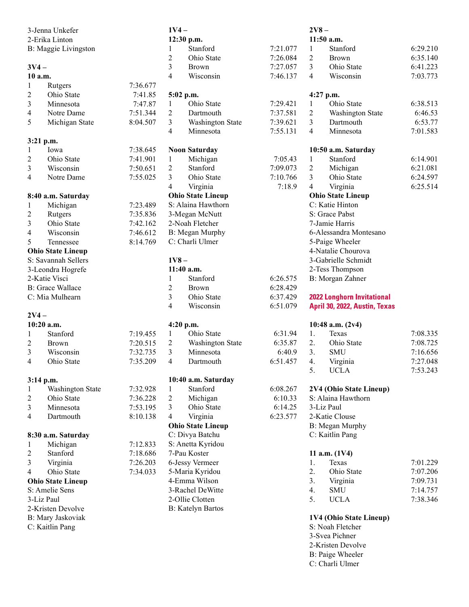|                | 3-Jenna Unkefer          |          | $1V4-$         |                          |                     | $2V8-$                   |                                   |          |
|----------------|--------------------------|----------|----------------|--------------------------|---------------------|--------------------------|-----------------------------------|----------|
|                | 2-Erika Linton           |          |                | 12:30 p.m.               |                     |                          | 11:50 a.m.                        |          |
|                | B: Maggie Livingston     |          | 1              | Stanford                 | 7:21.077            | 1                        | Stanford                          | 6:29.210 |
|                |                          |          | $\overline{2}$ | Ohio State               | 7:26.084            | $\overline{2}$           | Brown                             | 6:35.140 |
| $3V4-$         |                          |          | 3              | Brown                    | 7:27.057            | $\overline{3}$           | Ohio State                        | 6:41.223 |
|                | 10 a.m.                  |          | $\overline{4}$ | Wisconsin                | 7:46.137            | $\overline{\mathcal{A}}$ | Wisconsin                         | 7:03.773 |
| 1              | Rutgers                  | 7:36.677 |                |                          |                     |                          |                                   |          |
| $\overline{2}$ | Ohio State               | 7:41.85  |                | 5:02 p.m.                |                     |                          | 4:27 p.m.                         |          |
| $\overline{3}$ | Minnesota                | 7:47.87  | 1              | Ohio State               | 7:29.421            | 1                        | Ohio State                        | 6:38.513 |
| 4              | Notre Dame               | 7:51.344 | $\overline{2}$ | Dartmouth                | 7:37.581            | $\overline{2}$           | Washington State                  | 6:46.53  |
| 5              | Michigan State           | 8:04.507 | $\overline{3}$ | Washington State         | 7:39.621            | 3                        | Dartmouth                         | 6:53.77  |
|                |                          |          | 4              | Minnesota                | 7:55.131            | $\overline{4}$           | Minnesota                         | 7:01.583 |
|                | 3:21 p.m.                |          |                |                          |                     |                          |                                   |          |
| 1              | Iowa                     | 7:38.645 |                | <b>Noon Saturday</b>     |                     |                          | 10:50 a.m. Saturday               |          |
| $\mathfrak{2}$ | Ohio State               | 7:41.901 | $\mathbf{1}$   | Michigan                 | 7:05.43             | 1                        | Stanford                          | 6:14.901 |
| 3              | Wisconsin                | 7:50.651 | $\overline{2}$ | Stanford                 | 7:09.073            | $\overline{2}$           | Michigan                          | 6:21.081 |
| 4              | Notre Dame               | 7:55.025 | 3              | Ohio State               | 7:10.766            | $\overline{3}$           | Ohio State                        | 6:24.597 |
|                |                          |          |                |                          |                     |                          |                                   |          |
|                |                          |          | $\overline{4}$ | Virginia                 | 7:18.9              | 4                        | Virginia                          | 6:25.514 |
|                | 8:40 a.m. Saturday       |          |                | <b>Ohio State Lineup</b> |                     |                          | <b>Ohio State Lineup</b>          |          |
| 1              | Michigan                 | 7:23.489 |                | S: Alaina Hawthorn       |                     |                          | C: Katie Hinton                   |          |
| $\mathfrak{2}$ | Rutgers                  | 7:35.836 |                | 3-Megan McNutt           |                     |                          | S: Grace Pabst                    |          |
| $\overline{3}$ | Ohio State               | 7:42.162 |                | 2-Noah Fletcher          |                     |                          | 7-Jamie Harris                    |          |
| 4              | Wisconsin                | 7:46.612 |                | B: Megan Murphy          |                     |                          | 6-Alessandra Montesano            |          |
| 5              | Tennessee                | 8:14.769 |                | C: Charli Ulmer          |                     |                          | 5-Paige Wheeler                   |          |
|                | <b>Ohio State Lineup</b> |          |                |                          |                     |                          | 4-Natalie Chourova                |          |
|                | S: Savannah Sellers      |          | $1V8 -$        |                          | 3-Gabrielle Schmidt |                          |                                   |          |
|                | 3-Leondra Hogrefe        |          |                | 11:40 a.m.               |                     |                          | 2-Tess Thompson                   |          |
|                | 2-Katie Visci            |          | 1              | Stanford                 | 6:26.575            |                          | B: Morgan Zahner                  |          |
|                | <b>B:</b> Grace Wallace  |          | $\overline{c}$ | Brown                    | 6:28.429            |                          |                                   |          |
|                | C: Mia Mulhearn          |          | $\overline{3}$ | Ohio State               | 6:37.429            |                          | <b>2022 Longhorn Invitational</b> |          |
|                |                          |          | 4              | Wisconsin                | 6:51.079            |                          | April 30, 2022, Austin, Texas     |          |
| $2V4-$         |                          |          |                |                          |                     |                          |                                   |          |
|                | 10:20 a.m.               |          |                | 4:20 p.m.                |                     |                          | 10:48 a.m. (2v4)                  |          |
| 1              | Stanford                 | 7:19.455 | $\mathbf{1}$   | Ohio State               | 6:31.94             | 1.                       | Texas                             | 7:08.335 |
| $\overline{c}$ | Brown                    | 7:20.515 | 2              | Washington State         | 6:35.87             | 2.                       | Ohio State                        | 7:08.725 |
| 3              | Wisconsin                | 7:32.735 | 3              | Minnesota                | 6:40.9              | 3.                       | <b>SMU</b>                        | 7:16.656 |
| 4              | Ohio State               | 7:35.209 | 4              | Dartmouth                | 6:51.457            | 4.                       | Virginia                          | 7:27.048 |
|                |                          |          |                |                          |                     | 5.                       | <b>UCLA</b>                       | 7:53.243 |
|                | 3:14 p.m.                |          |                | 10:40 a.m. Saturday      |                     |                          |                                   |          |
| 1              | Washington State         | 7:32.928 | 1              | Stanford                 | 6:08.267            |                          | 2V4 (Ohio State Lineup)           |          |
| $\overline{c}$ | Ohio State               | 7:36.228 | 2              | Michigan                 | 6:10.33             |                          | S: Alaina Hawthorn                |          |
| 3              | Minnesota                | 7:53.195 | 3              | Ohio State               | 6:14.25             |                          | 3-Liz Paul                        |          |
| 4              | Dartmouth                | 8:10.138 | $\overline{4}$ | Virginia                 | 6:23.577            |                          | 2-Katie Clouse                    |          |
|                |                          |          |                | <b>Ohio State Lineup</b> |                     |                          | B: Megan Murphy                   |          |
|                |                          |          |                | C: Divya Batchu          |                     |                          | C: Kaitlin Pang                   |          |
|                | 8:30 a.m. Saturday       |          |                |                          |                     |                          |                                   |          |
| 1              | Michigan                 | 7:12.833 |                | S: Anetta Kyridou        |                     |                          |                                   |          |
| $\overline{c}$ | Stanford                 | 7:18.686 |                | 7-Pau Koster             |                     |                          | 11 a.m. $(1V4)$                   |          |
| 3              | Virginia                 | 7:26.203 |                | 6-Jessy Vermeer          |                     | 1.                       | Texas                             | 7:01.229 |
| 4              | Ohio State               | 7:34.033 |                | 5-Maria Kyridou          |                     | 2.                       | Ohio State                        | 7:07.206 |
|                | <b>Ohio State Lineup</b> |          |                | 4-Emma Wilson            |                     | 3.                       | Virginia                          | 7:09.731 |
|                | S: Amelie Sens           |          |                | 3-Rachel DeWitte         |                     | 4.                       | <b>SMU</b>                        | 7:14.757 |
|                | 3-Liz Paul               |          |                | 2-Ollie Clotten          |                     | 5.                       | <b>UCLA</b>                       | 7:38.346 |
|                | 2-Kristen Devolve        |          |                | <b>B:</b> Katelyn Bartos |                     |                          |                                   |          |
|                | B: Mary Jaskoviak        |          |                |                          |                     |                          | 1V4 (Ohio State Lineup)           |          |
|                | C: Kaitlin Pang          |          |                |                          |                     |                          | S: Noah Fletcher                  |          |
|                |                          |          |                |                          |                     |                          | 3-Svea Pichner                    |          |
|                |                          |          |                |                          |                     |                          | 2-Kristen Devolve                 |          |

B: Paige Wheeler C: Charli Ulmer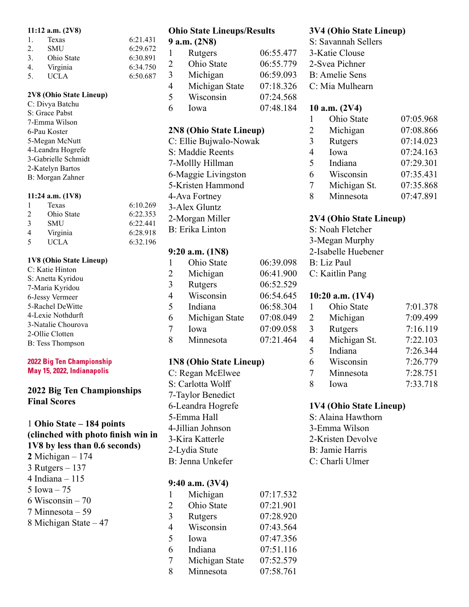#### 11:12 a.m. (2V8)

|               | $11.14$ and $270$ |          |
|---------------|-------------------|----------|
| $\mathbf{L}$  | Texas             | 6:21.431 |
| 2.            | <b>SMU</b>        | 6:29.672 |
| $\mathcal{E}$ | Ohio State        | 6:30.891 |
| 4.            | Virginia          | 6:34.750 |
| 5.            | <b>UCLA</b>       | 6:50.687 |

#### 2V8 (Ohio State Lineup)

C: Divya Batchu S: Grace Pabst 7-Emma Wilson 6-Pau Koster 5-Megan McNutt 4-Leandra Hogrefe 3-Gabrielle Schmidt 2-Katelyn Bartos B: Morgan Zahner

#### 11:24 a.m. (1V8)

|               | Texas       | 6:10.269 |
|---------------|-------------|----------|
| $\mathcal{D}$ | Ohio State  | 6:22.353 |
| $\mathcal{R}$ | <b>SMU</b>  | 6:22.441 |
| 4             | Virginia    | 6:28.918 |
| $\sim$        | <b>UCLA</b> | 6:32.196 |

#### 1V8 (Ohio State Lineup)

| C: Katie Hinton         |
|-------------------------|
| S: Anetta Kyridou       |
| 7-Maria Kyridou         |
| 6-Jessy Vermeer         |
| 5-Rachel DeWitte        |
| 4-Lexie Nothdurft       |
| 3-Natalie Chourova      |
| 2-Ollie Clotten         |
| <b>B:</b> Tess Thompson |

#### **2022 Big Ten Championship** May 15, 2022, Indianapolis

## 2022 Big Ten Championships Final Scores

1 Ohio State – 184 points (clinched with photo finish win in 1V8 by less than 0.6 seconds) 2 Michigan  $-174$ 3 Rutgers – 137 4 Indiana – 115 5 Iowa – 75 6 Wisconsin – 70 7 Minnesota – 59 8 Michigan State – 47

#### Ohio State Lineups/Results  $0$  a.m.  $(2N8)$

|                          | $\lambda$ a.m. (4110) |           |
|--------------------------|-----------------------|-----------|
| 1                        | Rutgers               | 06:55.477 |
| 2                        | Ohio State            | 06:55.779 |
| 3                        | Michigan              | 06:59.093 |
| 4                        | Michigan State        | 07:18.326 |
| $\overline{\mathcal{L}}$ | Wisconsin             | 07:24.568 |
| 6                        | Iowa                  | 07:48.184 |
|                          |                       |           |

## 2N8 (Ohio State Lineup)

C: Ellie Bujwalo-Nowak S: Maddie Reents 7-Mollly Hillman 6-Maggie Livingston 5-Kristen Hammond 4-Ava Fortney 3-Alex Gluntz 2-Morgan Miller B: Erika Linton

## 9:20 a.m. (1N8)

| 1 | Ohio State     | 06:39.098 |
|---|----------------|-----------|
| 2 | Michigan       | 06:41.900 |
| 3 | Rutgers        | 06:52.529 |
| 4 | Wisconsin      | 06:54.645 |
| 5 | Indiana        | 06:58.304 |
| 6 | Michigan State | 07:08.049 |
| 7 | Iowa           | 07:09.058 |
| 8 | Minnesota      | 07:21.464 |

## 1N8 (Ohio State Lineup)

C: Regan McElwee S: Carlotta Wolff 7-Taylor Benedict 6-Leandra Hogrefe 5-Emma Hall 4-Jillian Johnson 3-Kira Katterle 2-Lydia Stute B: Jenna Unkefer

#### 9:40 a.m. (3V4)

| $\mathbf{1}$  | Michigan       | 07:17.532 |
|---------------|----------------|-----------|
| 2             | Ohio State     | 07:21.901 |
| $\mathcal{E}$ | Rutgers        | 07:28.920 |
| 4             | Wisconsin      | 07:43.564 |
| 5             | Iowa           | 07:47.356 |
| 6             | Indiana        | 07:51.116 |
| 7             | Michigan State | 07:52.579 |
| 8             | Minnesota      | 07:58.761 |

## 3V4 (Ohio State Lineup)

S: Savannah Sellers 3-Katie Clouse 2-Svea Pichner B: Amelie Sens C: Mia Mulhearn

## 10 a.m. (2V4)

| 1 | Ohio State   | 07:05.968 |
|---|--------------|-----------|
| 2 | Michigan     | 07:08.866 |
| 3 | Rutgers      | 07:14.023 |
| 4 | Iowa         | 07:24.163 |
| 5 | Indiana      | 07:29.301 |
| 6 | Wisconsin    | 07:35.431 |
| 7 | Michigan St. | 07:35.868 |
| 8 | Minnesota    | 07:47.891 |

## 2V4 (Ohio State Lineup)

S: Noah Fletcher 3-Megan Murphy 2-Isabelle Huebener B: Liz Paul C: Kaitlin Pang

## 10:20 a.m. (1V4)

|   | Ohio State   | 7:01.378 |
|---|--------------|----------|
| 2 | Michigan     | 7:09.499 |
| 3 | Rutgers      | 7:16.119 |
| 4 | Michigan St. | 7:22.103 |
| 5 | Indiana      | 7:26.344 |
| 6 | Wisconsin    | 7:26.779 |
| 7 | Minnesota    | 7:28.751 |
| 8 | Iowa         | 7:33.718 |

#### 1V4 (Ohio State Lineup)

S: Alaina Hawthorn 3-Emma Wilson 2-Kristen Devolve B: Jamie Harris C: Charli Ulmer